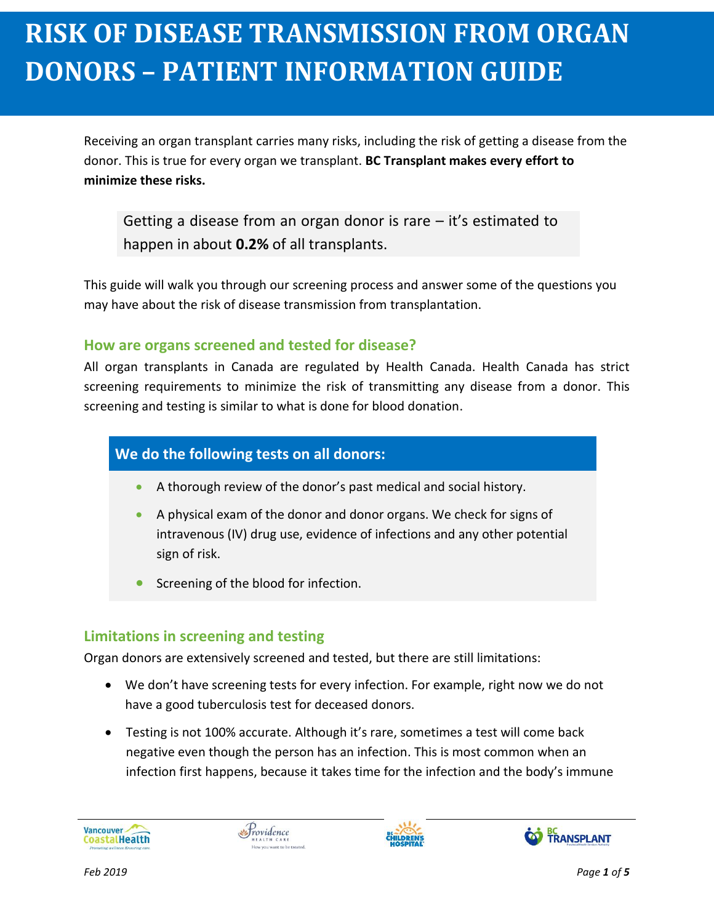Receiving an organ transplant carries many risks, including the risk of getting a disease from the donor. This is true for every organ we transplant. **BC Transplant makes every effort to minimize these risks. June 2018 Contract 2017** 

Getting a disease from an organ donor is rare  $-$  it's estimated to happen in about **0.2%** of all transplants.

This guide will walk you through our screening process and answer some of the questions you may have about the risk of disease transmission from transplantation.

#### **How are organs screened and tested for disease?**

All organ transplants in Canada are regulated by Health Canada. Health Canada has strict screening requirements to minimize the risk of transmitting any disease from a donor. This screening and testing is similar to what is done for blood donation.

#### **We do the following tests on all donors:**

- A thorough review of the donor's past medical and social history.
- A physical exam of the donor and donor organs. We check for signs of intravenous (IV) drug use, evidence of infections and any other potential sign of risk.
- Screening of the blood for infection.

### **Limitations in screening and testing**

Organ donors are extensively screened and tested, but there are still limitations:

- We don't have screening tests for every infection. For example, right now we do not have a good tuberculosis test for deceased donors.
- Testing is not 100% accurate. Although it's rare, sometimes a test will come back negative even though the person has an infection. This is most common when an infection first happens, because it takes time for the infection and the body's immune





**May 2017**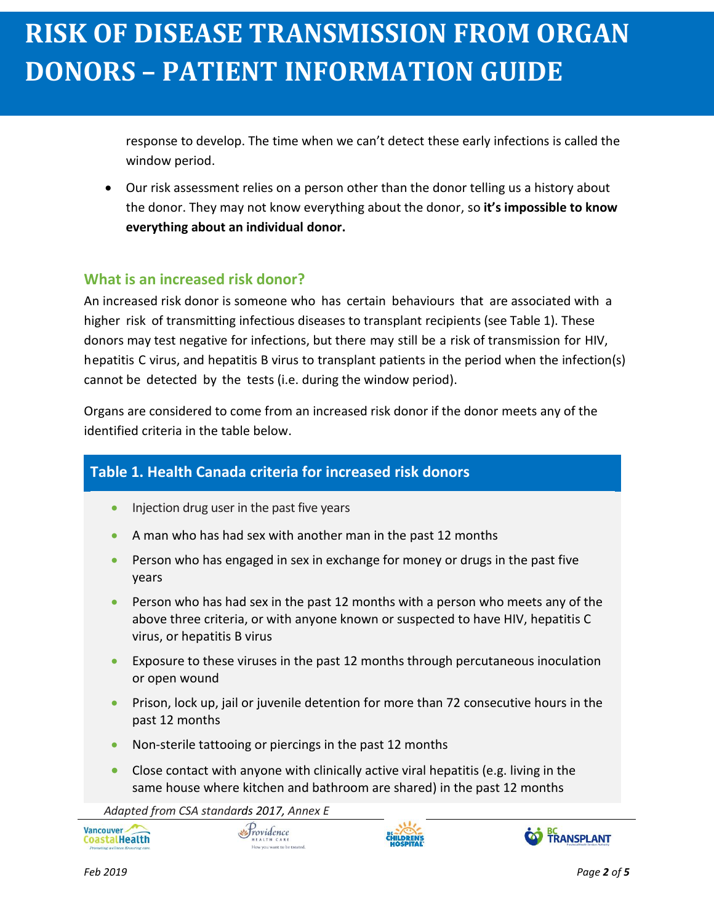response to develop. The time when we can't detect these early infections is called the window period.

 Our risk assessment relies on a person other than the donor telling us a history about the donor. They may not know everything about the donor, so **it's impossible to know everything about an individual donor.**

### **What is an increased risk donor?**

**May 2017**

An increased risk donor is someone who has certain behaviours that are associated with a higher risk of transmitting infectious diseases to transplant recipients (see Table 1). These donors may test negative for infections, but there may still be a risk of transmission for HIV, hepatitis C virus, and hepatitis B virus to transplant patients in the period when the infection(s) cannot be detected by the tests (i.e. during the window period).

Organs are considered to come from an increased risk donor if the donor meets any of the identified criteria in the table below.

### **Table 1. Health Canada criteria for increased risk donors**

- Injection drug user in the past five years
- A man who has had sex with another man in the past 12 months
- **Person who has engaged in sex in exchange for money or drugs in the past five** years
- Person who has had sex in the past 12 months with a person who meets any of the above three criteria, or with anyone known or suspected to have HIV, hepatitis C virus, or hepatitis B virus
- Exposure to these viruses in the past 12 months through percutaneous inoculation or open wound
- **Phison, lock up, jail or juvenile detention for more than 72 consecutive hours in the** past 12 months
- Non-sterile tattooing or piercings in the past 12 months

Providence

 Close contact with anyone with clinically active viral hepatitis (e.g. living in the same house where kitchen and bathroom are shared) in the past 12 months

*Adapted from CSA standards 2017, Annex E*





Vancouver

CoastalHealth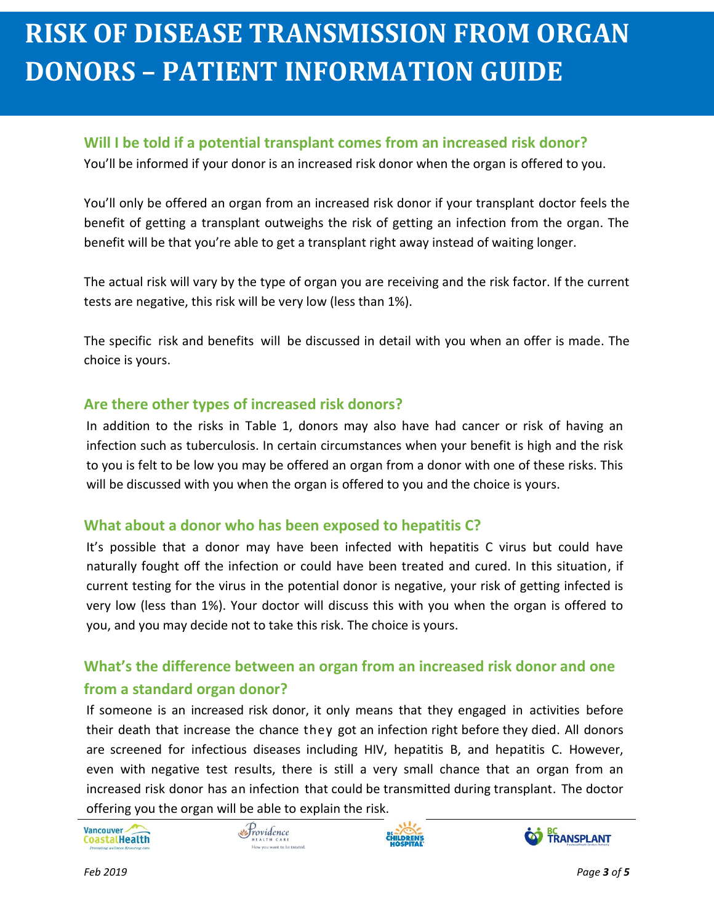### **Will I be told if a potential transplant comes from an increased risk donor?**

You'll be informed if your donor is an increased risk donor when the organ is offered to you.

You'll only be offered an organ from an increased risk donor if your transplant doctor feels the benefit of getting a transplant outweighs the risk of getting an infection from the organ. The benefit will be that you're able to get a transplant right away instead of waiting longer.

The actual risk will vary by the type of organ you are receiving and the risk factor. If the current tests are negative, this risk will be very low (less than 1%).

The specific risk and benefits will be discussed in detail with you when an offer is made. The choice is yours.

#### **Are there other types of increased risk donors?**

In addition to the risks in Table 1, donors may also have had cancer or risk of having an infection such as tuberculosis. In certain circumstances when your benefit is high and the risk to you is felt to be low you may be offered an organ from a donor with one of these risks. This will be discussed with you when the organ is offered to you and the choice is yours.

### **What about a donor who has been exposed to hepatitis C?**

It's possible that a donor may have been infected with hepatitis C virus but could have naturally fought off the infection or could have been treated and cured. In this situation, if current testing for the virus in the potential donor is negative, your risk of getting infected is very low (less than 1%). Your doctor will discuss this with you when the organ is offered to you, and you may decide not to take this risk. The choice is yours.

### **What's the difference between an organ from an increased risk donor and one from a standard organ donor?**

If someone is an increased risk donor, it only means that they engaged in activities before their death that increase the chance they got an infection right before they died. All donors are screened for infectious diseases including HIV, hepatitis B, and hepatitis C. However, even with negative test results, there is still a very small chance that an organ from an increased risk donor has an infection that could be transmitted during transplant. The doctor offering you the organ will be able to explain the risk.

Vancouver-CoastalHealth







**May 2017**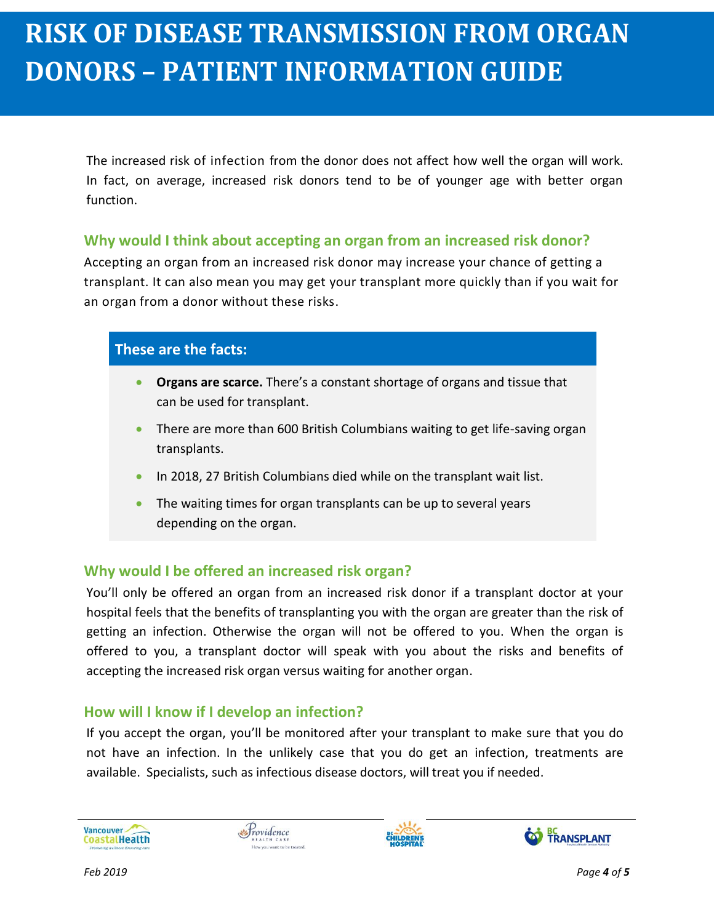The increased risk of infection from the donor does not affect how well the organ will work. In fact, on average, increased risk donors tend to be of younger age with better organ function.

### **Why would I think about accepting an organ from an increased risk donor?**

Accepting an organ from an increased risk donor may increase your chance of getting a transplant. It can also mean you may get your transplant more quickly than if you wait for an organ from a donor without these risks.

#### **These are the facts:**

**May 2017**

- **Organs are scarce.** There's a constant shortage of organs and tissue that can be used for transplant.
- There are more than 600 British Columbians waiting to get life-saving organ transplants.
- In 2018, 27 British Columbians died while on the transplant wait list.
- The waiting times for organ transplants can be up to several years depending on the organ.

### **Why would I be offered an increased risk organ?**

You'll only be offered an organ from an increased risk donor if a transplant doctor at your hospital feels that the benefits of transplanting you with the organ are greater than the risk of getting an infection. Otherwise the organ will not be offered to you. When the organ is offered to you, a transplant doctor will speak with you about the risks and benefits of accepting the increased risk organ versus waiting for another organ.

#### **How will I know if I develop an infection?**

If you accept the organ, you'll be monitored after your transplant to make sure that you do not have an infection. In the unlikely case that you do get an infection, treatments are available. Specialists, such as infectious disease doctors, will treat you if needed.